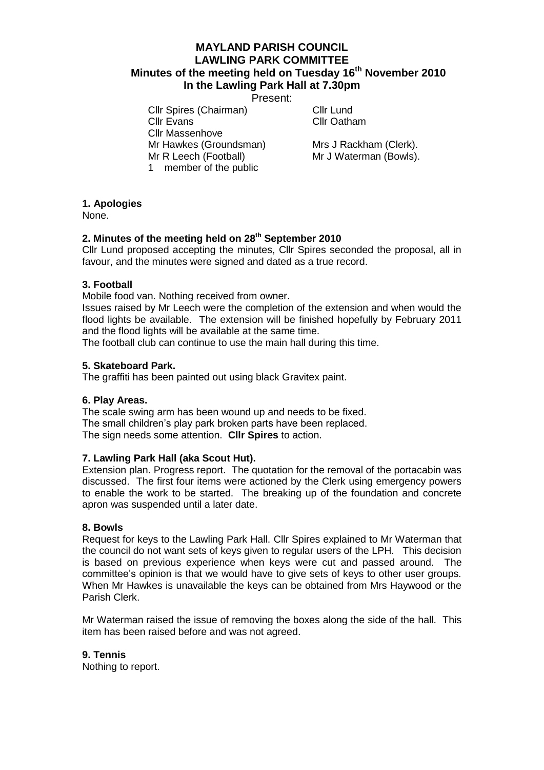# **MAYLAND PARISH COUNCIL LAWLING PARK COMMITTEE Minutes of the meeting held on Tuesday 16th November 2010 In the Lawling Park Hall at 7.30pm**

Present:

Cllr Spires (Chairman) Cllr Lund Cllr Evans Cllr Oatham Cllr Massenhove Mr Hawkes (Groundsman) Mrs J Rackham (Clerk). Mr R Leech (Football) Mr J Waterman (Bowls). 1 member of the public

## **1. Apologies**

None.

# **2. Minutes of the meeting held on 28th September 2010**

Cllr Lund proposed accepting the minutes, Cllr Spires seconded the proposal, all in favour, and the minutes were signed and dated as a true record.

### **3. Football**

Mobile food van. Nothing received from owner.

Issues raised by Mr Leech were the completion of the extension and when would the flood lights be available. The extension will be finished hopefully by February 2011 and the flood lights will be available at the same time.

The football club can continue to use the main hall during this time.

## **5. Skateboard Park.**

The graffiti has been painted out using black Gravitex paint.

### **6. Play Areas.**

The scale swing arm has been wound up and needs to be fixed. The small children's play park broken parts have been replaced. The sign needs some attention. **Cllr Spires** to action.

### **7. Lawling Park Hall (aka Scout Hut).**

Extension plan. Progress report. The quotation for the removal of the portacabin was discussed. The first four items were actioned by the Clerk using emergency powers to enable the work to be started. The breaking up of the foundation and concrete apron was suspended until a later date.

### **8. Bowls**

Request for keys to the Lawling Park Hall. Cllr Spires explained to Mr Waterman that the council do not want sets of keys given to regular users of the LPH. This decision is based on previous experience when keys were cut and passed around. The committee's opinion is that we would have to give sets of keys to other user groups. When Mr Hawkes is unavailable the keys can be obtained from Mrs Haywood or the Parish Clerk.

Mr Waterman raised the issue of removing the boxes along the side of the hall. This item has been raised before and was not agreed.

### **9. Tennis**

Nothing to report.